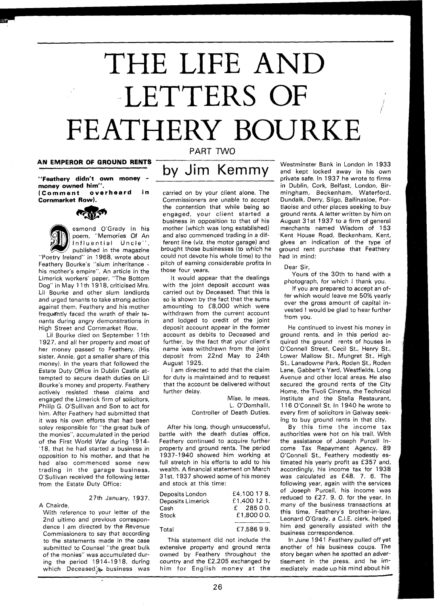# THE LIFE AND LETTERS OF FEATHERY BOURKE

**money owned him". (Comment overheard in** 

**Cornmarket Row).** 



esmond O'Grady in his

poem, "Memories Of An Influential Uncle", published in the magazine "Poetry Ireland" in 1968, wrote about Feathery Bourke's "slum inheritance - his mother's empire". An article in the Limerick workers' paper, "The Bottom Dog" in May 11th 1918, criticised Mrs. Lil Bourke and other slum landlords and urged tenants to take strong action against them. Feathery and his mother frequently faced the wrath of their tenants during angry demonstrations in High Street and Cornmarket Row.

Lil Bourke died on September I lth 1927, and all her property and most of her money passed to Feathery, (His sister, Annie, got a smaller share of this money). In the years that followed the Estate Duty Office in Dublin Castle attempted to secure death duties on Lil Bourke's money and property. Feathery actively resisted these claims and engaged the Limerick firm of solicitors, Philip G. O'Sullivan and Son to act for him. After Feathery had submitted that it was his own efforts that had been soley responsible for "the great bulk of the monies", accumulated in the period of the First World War during 1914-'18, that he had started a business in opposition to his mother, and that he had also commenced some new trading in the garage business, O'Sullivan received the following letter from the Estate Duty Office:

#### 27th January, 1937.

A Chairde, With reference to your letter of the 2nd ultimo and previous correspondence I am directed by the Revenue Commissioners to say that according to the statements made in the case submitted to Counsel "the great bulk of the monies" was accumulated during the period 1914-1918, during which Deceased:s business was

### PART TWO

## **AN EMPEROR OF GROUND RENTS** by Jim Kemmy "Feathery didn't own money -

carried on by your client alone. The Commissioners are unable to accept the contention that while being so engaged, your client started a business in opposition to that of his mother (which was long established) and also commenced trading in a different line (viz. the motor garage) and brought those businesses (to which he could not devote his whole time) to the pitch of earning considerable profits in those four years.

It would appear that the dealings with the joint deposit account was carried out by Deceased. That this is so is shown by the fact that the sums amounting to f8,000 which were withdrawn from the current account and lodged to credit of the joint deposit account appear in the former account as debits to Deceased and further, by the fact that your client's name 'was withdrawn from the joint deposit from 22nd May to 24th August 1925.

I am directed to add that the claim for duty is maintained and to request that the account be delivered without further delay.

Mise, le meas, L. O'Domhaill, Controller of Death Duties.

After his long, though unsuccessful, battle with the death duties office, Feathery continued to acquire further property and ground rents. The period 1937-1 940 showed him working at full stretch in his efforts to add to his wealth. A financial statement on March 31st, 1937 showed some of his money and stock at this time:

| Deposits London   | £4,100 17 8. |
|-------------------|--------------|
| Deposits Limerick | £1,400 12 1. |
| Cash              | $£$ 285 0 0. |
| Stock             | £1,800 0 0.  |
|                   |              |
| Total             | £7,58699.    |

This statement did not include the extensive property and ground rents owned by Feathery throughout the country and the £2,205 exchanged by him for English money at the

Westminster Bank in London in 1933 and kept locked away in his own private safe. In 1937 he wrote to firms in Dublin, Cork, Belfast, London, Birmingham, Beckenham, Waterford, Dundalk, Derry, Sligo, Ballinasloe, Portlaoise and other places seeking to buy ground rents. A letter written by him on August 31st 1937 to a firm of general merchants named Wisdom of 153 Kent House Road, Beckenham, Kent, gives an indication of the type of ground rent purchase that Feathery had in mind:

Dear Sir,

Yours of the 30th to hand with a photograph, for which I thank you.

If you are prepared to accept an offer which would leave me 50% yearly over the gross amount of capital invested I would be glad to hear further from you.

He continued to invest his money in ground rents, and in this period acquired the ground rents of houses in O'Connell Street, Cecil St., Henry St., Lower Mallow St., Mungret St., High St., Lansdowne Park, Roden St., Roden Lane, Gabbett's Yard, Westfields, Long Avenue and other local areas. He also secured the ground rents of the City Home, the Tivoli Cinema, the Technical Institute and the Stella Restaurant, 1 16 O'Connell St. In 1940 he wrote to every firm of solicitors in Galway seeking to buy ground rents in that city.

By this time the income tax authorities were hot on his trail. With the assistance of Joseph Purcell Income Tax Repayment Agency, 89 O'Connell St., Feathery modestly estimated his yearly profit as £357 and, accordingly, his income tax for 1938 was calculated as £48. 7. 6. The following year, again with the services of Joseph Purcell, his income was reduced to f27. 9. 0. for the year. In many of the business transactions at this time, Feathery's brother-in-law, Leonard O'Grady, a C.I.E. clerk, helped him and generally assisted with the business correspondence.

In June 1941 Feathery pulled off yet another of his business coups. The story began when he spotted an advertisement in the press, and he immediately made up his mind about his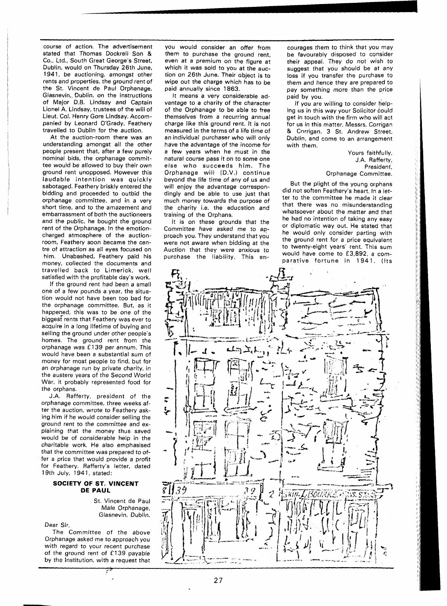course of action. The advertisement stated that Thomas Dockrell Son & Co.. Ltd., South Great George's Street, Dublin, would on Thursday 26th June, 1941, be auctioning, amongst other rents and properties, the ground rent of the St. Vincent de Paul Orphanage, Glasnevin,, Dublin, on the instructions of Major D.B. Lindsay and Captain Lionel A. Lindsay, trustees of the will of Lieut. Col. Henry Gore Lindsay. Accompanied by Leonard O'Grady, Feathery travelled to Dublin for the auction.

At the auction-room there was an understanding. amongst all the other people present that, after a few purely nominal bids, the orphanage committee would be allowed to buy their own ground rent unopposed. However this laudable intention was quickly sabotaged. Feathery briskly entered the bidding and proceeded to outbid the orphanage committee, and in a very short time, and to the amazement and embarrassment of both the auctioneers and the public, he bought the ground rent of the Orphanage. In the emotioncharged atmosphere of the auctionroom, Feathery soon became the centre of attraction as all eyes focused on him. Unabashed, Feathery paid his money, collected the documents and travelled back to Limerick, well satisfied with the profitable day's work.

If the ground rent had been a small one of a few pounds a year, the situation would not have been too bad for the orphanage committee. But, as it happened, this was to be one of the biggest rents that Feathery was ever to acquire in a long lifetime of buying and selling the ground under other people's homes. The ground rent from the orphanage was **f** 139 per annum. This would have been a substantial sum of money for most people to find, but for an orphanage run by private charity, in the austere years of the Second World War, it probably represented food for the orphans.

J.A. Rafferty, president of the orphanage committee, three weeks after the auction, wrote to Feathery asking him if he would consider selling the ground rent to the committee and explaining that the money thus saved would be of considerable help in the charitable work. He also emphasised that the committee was prepared to offer a price that would provide a profit for Feathery. Rafferty's letter, dated 19th July, 1941, stated:

#### **SOCIETY OF ST. VINCENT DE PAUL**

St. Vincent de Paul Male Orphanage, Glasnevin, Dublin.

Dear Sir,

The Committee of the above Orphanage asked me to approach you with regard to your recent purchase of the ground rent of **f** 139 payable by the Institution, with a request that

Ÿ

you would consider an offer from them to purchase the ground rent, even at a premium on the figure at which it was sold to you at the auction on 26th June. Their object is to wipe out the charge which has to be paid annually since 1863.

It means a very considerable advantage to a charity of the character of the Orphanage to be able to free themselves from a recurring annual charge like this ground rent. It is not measured in the terms of a life time of an individual purchaser who will only have the advantage of the income for a few years when he must in the natural course pass it on to some one else who succeeds him. The Orphanage will (D.V.) continue beyond the life time of any of us and will enjoy the advantage correspondingly and be able to use just that much money towards the purpose of the charity i.e. the education and training of the Orphans.

It is on these grounds that the Committee have asked me to aqproach you. They understand that you were not aware when bidding at the Auction that they were anxious to purchase the liability. This encourages them to think that you may be favourably disposed to consider their appeal. They do not wish to suggest that you should be at any loss if you transfer the purchase to them and hence they are prepared to pay something more than the price paid by you.

If you are willing to consider helping us in this way your Solicitor could get in touch with the firm who will act for us in this matter. Messrs. Corrigan & Corrigan, 3 St. Andrew Street, Dublin, and come to an arrangement with them.

> Yours faithfully, J.A. Rafferty, President, Orphanage Committee.

But the plight of the young orphans did not soften Feathery's heart. In a letter to the committee he made it clear that there was no misunderstanding whatsoever about the matter and that he had no intention of taking any easy or diplomatic way out. He stated that he would only consider parting with the ground rent for a price equivalent to twenty-eight years' rent. This sum would have come to £3,892, a comparative fortune in 1941. (Its